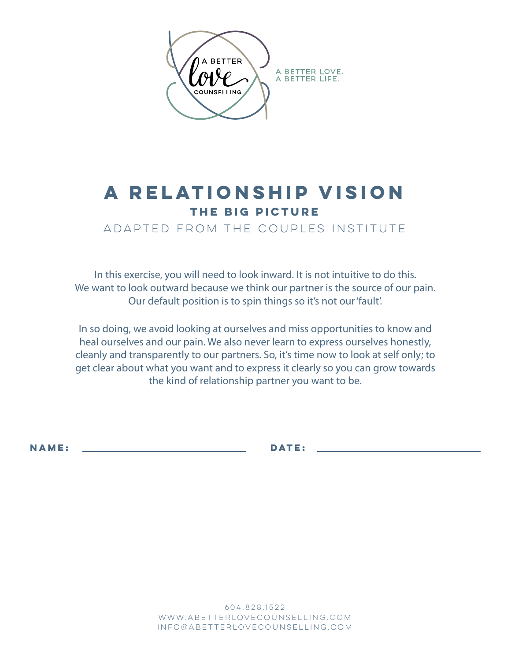

## **a relationship vision THE BIG PICTURe**

ADAPTED FROM THE COUPLES INSTITUTE

In this exercise, you will need to look inward. It is not intuitive to do this. We want to look outward because we think our partner is the source of our pain. Our default position is to spin things so it's not our 'fault'.

In so doing, we avoid looking at ourselves and miss opportunities to know and heal ourselves and our pain. We also never learn to express ourselves honestly, cleanly and transparently to our partners. So, it's time now to look at self only; to get clear about what you want and to express it clearly so you can grow towards the kind of relationship partner you want to be.

**NAME:** <u>DATE:</u> **DATE:** 

604.828.1522 www.abetterlovecounselling.com info@abetterlovecounselling.com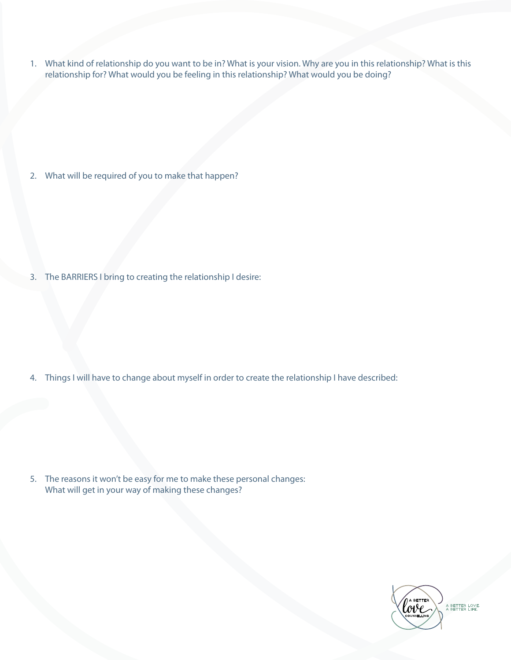1. What kind of relationship do you want to be in? What is your vision. Why are you in this relationship? What is this relationship for? What would you be feeling in this relationship? What would you be doing?

2. What will be required of you to make that happen?

3. The BARRIERS I bring to creating the relationship I desire:

4. Things I will have to change about myself in order to create the relationship I have described:

5. The reasons it won't be easy for me to make these personal changes: What will get in your way of making these changes?